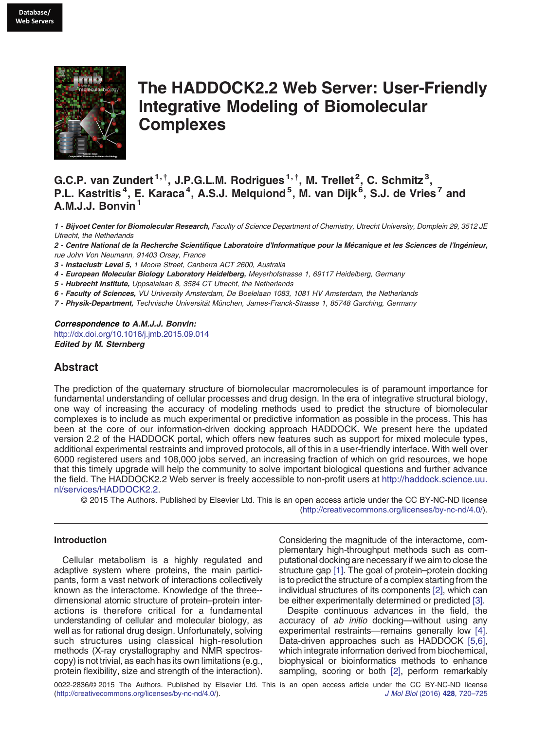

# The HADDOCK2.2 Web Server: User-Friendly Integrative Modeling of Biomolecular **Complexes**

## G.C.P. van Zundert<sup>1,†</sup>, J.P.G.L.M. Rodrigues<sup>1,†</sup>, M. Trellet<sup>2</sup>, C. Schmitz<sup>3</sup>, P.L. Kastritis<sup>4</sup>, E. Karaca<sup>4</sup>, A.S.J. Melquiond<sup>5</sup>, M. van Dijk<sup>6</sup>, S.J. de Vries<sup>7</sup> and A.M.J.J. Bonvin<sup>1</sup>

1 - Bijvoet Center for Biomolecular Research, Faculty of Science Department of Chemistry, Utrecht University, Domplein 29, 3512 JE Utrecht, the Netherlands

2 - Centre National de la Recherche Scientifique Laboratoire d'Informatique pour la Mécanique et les Sciences de l'Ingénieur, rue John Von Neumann, 91403 Orsay, France

3 - Instaclustr Level 5, 1 Moore Street, Canberra ACT 2600, Australia

4 - European Molecular Biology Laboratory Heidelberg, Meyerhofstrasse 1, 69117 Heidelberg, Germany

5 - Hubrecht Institute, Uppsalalaan 8, 3584 CT Utrecht, the Netherlands

6 - Faculty of Sciences, VU University Amsterdam, De Boelelaan 1083, 1081 HV Amsterdam, the Netherlands

7 - Physik-Department, Technische Universität München, James-Franck-Strasse 1, 85748 Garching, Germany

Correspondence to A.M.J.J. Bonvin: http://dx.doi.org/10.1016/j.jmb.2015.09.014 Edited by M. Sternberg

## Abstract

The prediction of the quaternary structure of biomolecular macromolecules is of paramount importance for fundamental understanding of cellular processes and drug design. In the era of integrative structural biology, one way of increasing the accuracy of modeling methods used to predict the structure of biomolecular complexes is to include as much experimental or predictive information as possible in the process. This has been at the core of our information-driven docking approach HADDOCK. We present here the updated version 2.2 of the HADDOCK portal, which offers new features such as support for mixed molecule types, additional experimental restraints and improved protocols, all of this in a user-friendly interface. With well over 6000 registered users and 108,000 jobs served, an increasing fraction of which on grid resources, we hope that this timely upgrade will help the community to solve important biological questions and further advance the field. The HADDOCK2.2 Web server is freely accessible to non-profit users at http://haddock.science.uu. nl/services/HADDOCK2.2.

© 2015 The Authors. Published by Elsevier Ltd. This is an open access article under the CC BY-NC-ND license [\(http://creativecommons.org/licenses/by-nc-nd/4.0/\)](http://creativecommons.org/licenses/by-nc-nd/4.0/).

#### Introduction

Cellular metabolism is a highly regulated and adaptive system where proteins, the main participants, form a vast network of interactions collectively known as the interactome. Knowledge of the three- dimensional atomic structure of protein–protein interactions is therefore critical for a fundamental understanding of cellular and molecular biology, as well as for rational drug design. Unfortunately, solving such structures using classical high-resolution methods (X-ray crystallography and NMR spectroscopy) is not trivial, as each has its own limitations (e.g., protein flexibility, size and strength of the interaction).

Considering the magnitude of the interactome, complementary high-throughput methods such as computational docking are necessary if we aim to close the structure gap [\[1\]](#page-4-0). The goal of protein–protein docking is to predict the structure of a complex starting from the individual structures of its components [\[2\]](#page-4-0), which can be either experimentally determined or predicted [\[3\].](#page-4-0)

Despite continuous advances in the field, the accuracy of ab initio docking—without using any experimental restraints—remains generally low [\[4\]](#page-4-0). Data-driven approaches such as HADDOCK [\[5,6\]](#page-4-0), which integrate information derived from biochemical, biophysical or bioinformatics methods to enhance sampling, scoring or both [\[2\],](#page-4-0) perform remarkably

0022-2836/© 2015 The Authors. Published by Elsevier Ltd. This is an open access article under the CC BY-NC-ND license (http://creativecommons.org/licenses/by-nc-nd/4.0/). [\(http://creativecommons.org/licenses/by-nc-nd/4.0/\)](http://creativecommons.org/licenses/by-nc-nd/4.0/).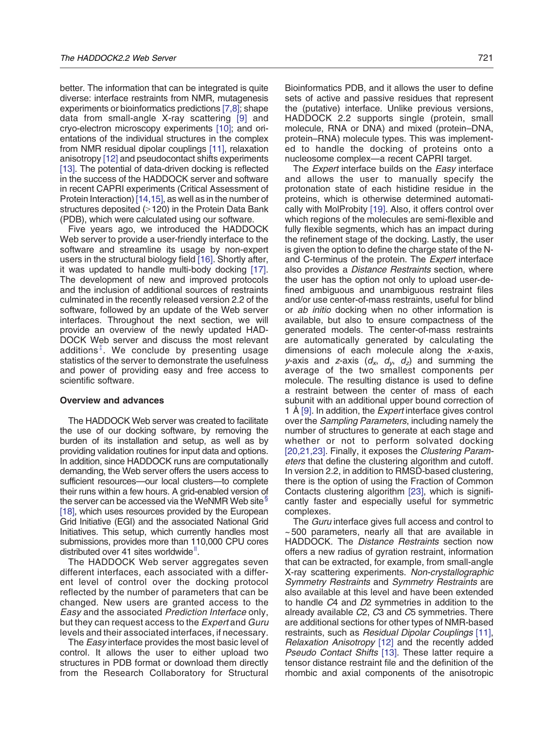better. The information that can be integrated is quite diverse: interface restraints from NMR, mutagenesis experiments or bioinformatics predictions [\[7,8\]](#page-4-0); shape data from small-angle X-ray scattering [\[9\]](#page-4-0) and cryo-electron microscopy experiments [\[10\]](#page-4-0); and orientations of the individual structures in the complex from NMR residual dipolar couplings [\[11\],](#page-4-0) relaxation anisotropy [\[12\]](#page-4-0) and pseudocontact shifts experiments [\[13\]](#page-4-0). The potential of data-driven docking is reflected in the success of the HADDOCK server and software in recent CAPRI experiments (Critical Assessment of Protein Interaction) [\[14,15\]](#page-4-0), as well as in the number of structures deposited  $(>120)$  in the Protein Data Bank (PDB), which were calculated using our software.

Five years ago, we introduced the HADDOCK Web server to provide a user-friendly interface to the software and streamline its usage by non-expert users in the structural biology field [\[16\]](#page-4-0). Shortly after, it was updated to handle multi-body docking [\[17\]](#page-4-0). The development of new and improved protocols and the inclusion of additional sources of restraints culminated in the recently released version 2.2 of the software, followed by an update of the Web server interfaces. Throughout the next section, we will provide an overview of the newly updated HAD-DOCK Web server and discuss the most relevant additions‡ . We conclude by presenting usage statistics of the server to demonstrate the usefulness and power of providing easy and free access to scientific software.

#### Overview and advances

The HADDOCK Web server was created to facilitate the use of our docking software, by removing the burden of its installation and setup, as well as by providing validation routines for input data and options. In addition, since HADDOCK runs are computationally demanding, the Web server offers the users access to sufficient resources—our local clusters—to complete their runs within a few hours. A grid-enabled version of the server can be accessed via the WeNMR Web site<sup>§</sup> [\[18\],](#page-4-0) which uses resources provided by the European Grid Initiative (EGI) and the associated National Grid Initiatives. This setup, which currently handles most submissions, provides more than 110,000 CPU cores distributed over 41 sites worldwide<sup>ll</sup>.

The HADDOCK Web server aggregates seven different interfaces, each associated with a different level of control over the docking protocol reflected by the number of parameters that can be changed. New users are granted access to the Easy and the associated Prediction Interface only, but they can request access to the *Expert* and *Guru* levels and their associated interfaces, if necessary.

The Easy interface provides the most basic level of control. It allows the user to either upload two structures in PDB format or download them directly from the Research Collaboratory for Structural Bioinformatics PDB, and it allows the user to define sets of active and passive residues that represent the (putative) interface. Unlike previous versions, HADDOCK 2.2 supports single (protein, small molecule, RNA or DNA) and mixed (protein–DNA, protein–RNA) molecule types. This was implemented to handle the docking of proteins onto a nucleosome complex—a recent CAPRI target.

The *Expert* interface builds on the *Easy* interface and allows the user to manually specify the protonation state of each histidine residue in the proteins, which is otherwise determined automatically with MolProbity [\[19\].](#page-5-0) Also, it offers control over which regions of the molecules are semi-flexible and fully flexible segments, which has an impact during the refinement stage of the docking. Lastly, the user is given the option to define the charge state of the Nand C-terminus of the protein. The *Expert* interface also provides a Distance Restraints section, where the user has the option not only to upload user-defined ambiguous and unambiguous restraint files and/or use center-of-mass restraints, useful for blind or ab initio docking when no other information is available, but also to ensure compactness of the generated models. The center-of-mass restraints are automatically generated by calculating the dimensions of each molecule along the x-axis, y-axis and z-axis  $(d_x, d_y, d_z)$  and summing the average of the two smallest components per molecule. The resulting distance is used to define a restraint between the center of mass of each subunit with an additional upper bound correction of 1 Å [\[9\].](#page-4-0) In addition, the *Expert* interface gives control over the Sampling Parameters, including namely the number of structures to generate at each stage and whether or not to perform solvated docking [\[20,21,23\].](#page-5-0) Finally, it exposes the Clustering Parameters that define the clustering algorithm and cutoff. In version 2.2, in addition to RMSD-based clustering, there is the option of using the Fraction of Common Contacts clustering algorithm [\[23\]](#page-5-0), which is significantly faster and especially useful for symmetric complexes.

The *Guru* interface gives full access and control to ~ 500 parameters, nearly all that are available in HADDOCK. The Distance Restraints section now offers a new radius of gyration restraint, information that can be extracted, for example, from small-angle X-ray scattering experiments. Non-crystallographic Symmetry Restraints and Symmetry Restraints are also available at this level and have been extended to handle C4 and D2 symmetries in addition to the already available C2, C3 and C5 symmetries. There are additional sections for other types of NMR-based restraints, such as Residual Dipolar Couplings [\[11\],](#page-4-0) Relaxation Anisotropy [\[12\]](#page-4-0) and the recently added Pseudo Contact Shifts [\[13\]](#page-4-0). These latter require a tensor distance restraint file and the definition of the rhombic and axial components of the anisotropic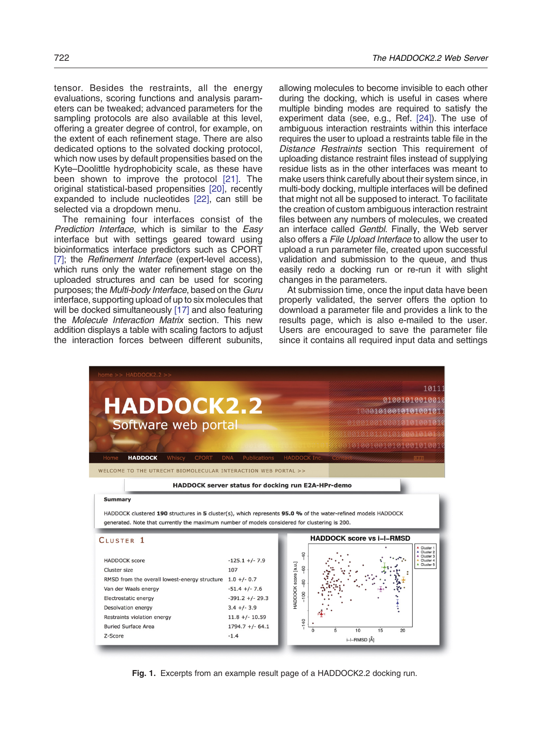<span id="page-2-0"></span>tensor. Besides the restraints, all the energy evaluations, scoring functions and analysis parameters can be tweaked; advanced parameters for the sampling protocols are also available at this level, offering a greater degree of control, for example, on the extent of each refinement stage. There are also dedicated options to the solvated docking protocol, which now uses by default propensities based on the Kyte–Doolittle hydrophobicity scale, as these have been shown to improve the protocol [\[21\]](#page-5-0). The original statistical-based propensities [\[20\],](#page-5-0) recently expanded to include nucleotides [\[22\]](#page-5-0), can still be selected via a dropdown menu.

The remaining four interfaces consist of the Prediction Interface, which is similar to the Easy interface but with settings geared toward using bioinformatics interface predictors such as CPORT [\[7\];](#page-4-0) the Refinement Interface (expert-level access), which runs only the water refinement stage on the uploaded structures and can be used for scoring purposes; the Multi-body Interface, based on the Guru interface, supporting upload of up to six molecules that will be docked simultaneously [\[17\]](#page-4-0) and also featuring the Molecule Interaction Matrix section. This new addition displays a table with scaling factors to adjust the interaction forces between different subunits,

allowing molecules to become invisible to each other during the docking, which is useful in cases where multiple binding modes are required to satisfy the experiment data (see, e.g., Ref. [\[24\]\)](#page-5-0). The use of ambiguous interaction restraints within this interface requires the user to upload a restraints table file in the Distance Restraints section This requirement of uploading distance restraint files instead of supplying residue lists as in the other interfaces was meant to make users think carefully about their system since, in multi-body docking, multiple interfaces will be defined that might not all be supposed to interact. To facilitate the creation of custom ambiguous interaction restraint files between any numbers of molecules, we created an interface called Gentbl. Finally, the Web server also offers a File Upload Interface to allow the user to upload a run parameter file, created upon successful validation and submission to the queue, and thus easily redo a docking run or re-run it with slight changes in the parameters.

At submission time, once the input data have been properly validated, the server offers the option to download a parameter file and provides a link to the results page, which is also e-mailed to the user. Users are encouraged to save the parameter file since it contains all required input data and settings



Fig. 1. Excerpts from an example result page of a HADDOCK2.2 docking run.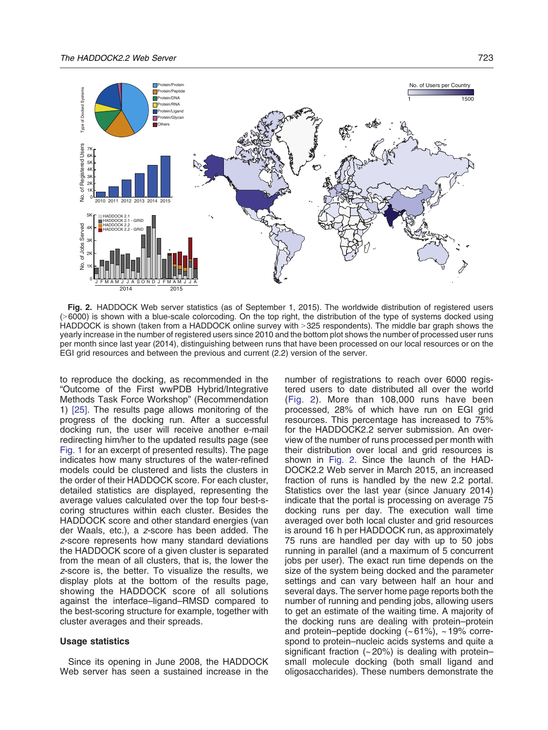

Fig. 2. HADDOCK Web server statistics (as of September 1, 2015). The worldwide distribution of registered users  $(0.6000)$  is shown with a blue-scale colorcoding. On the top right, the distribution of the type of systems docked using HADDOCK is shown (taken from a HADDOCK online survey with >325 respondents). The middle bar graph shows the yearly increase in the number of registered users since 2010 and the bottom plot shows the number of processed user runs per month since last year (2014), distinguishing between runs that have been processed on our local resources or on the EGI grid resources and between the previous and current (2.2) version of the server.

to reproduce the docking, as recommended in the "Outcome of the First wwPDB Hybrid/Integrative Methods Task Force Workshop" (Recommendation 1) [\[25\].](#page-5-0) The results page allows monitoring of the progress of the docking run. After a successful docking run, the user will receive another e-mail redirecting him/her to the updated results page (see [Fig. 1](#page-2-0) for an excerpt of presented results). The page indicates how many structures of the water-refined models could be clustered and lists the clusters in the order of their HADDOCK score. For each cluster, detailed statistics are displayed, representing the average values calculated over the top four best-scoring structures within each cluster. Besides the HADDOCK score and other standard energies (van der Waals, etc.), a z-score has been added. The z-score represents how many standard deviations the HADDOCK score of a given cluster is separated from the mean of all clusters, that is, the lower the z-score is, the better. To visualize the results, we display plots at the bottom of the results page, showing the HADDOCK score of all solutions against the interface–ligand–RMSD compared to the best-scoring structure for example, together with cluster averages and their spreads.

#### Usage statistics

Since its opening in June 2008, the HADDOCK Web server has seen a sustained increase in the

number of registrations to reach over 6000 registered users to date distributed all over the world (Fig. 2). More than 108,000 runs have been processed, 28% of which have run on EGI grid resources. This percentage has increased to 75% for the HADDOCK2.2 server submission. An overview of the number of runs processed per month with their distribution over local and grid resources is shown in Fig. 2. Since the launch of the HAD-DOCK2.2 Web server in March 2015, an increased fraction of runs is handled by the new 2.2 portal. Statistics over the last year (since January 2014) indicate that the portal is processing on average 75 docking runs per day. The execution wall time averaged over both local cluster and grid resources is around 16 h per HADDOCK run, as approximately 75 runs are handled per day with up to 50 jobs running in parallel (and a maximum of 5 concurrent jobs per user). The exact run time depends on the size of the system being docked and the parameter settings and can vary between half an hour and several days. The server home page reports both the number of running and pending jobs, allowing users to get an estimate of the waiting time. A majority of the docking runs are dealing with protein–protein and protein–peptide docking  $(-61\%)$ ,  $-19\%$  correspond to protein–nucleic acids systems and quite a significant fraction  $(-20%)$  is dealing with protein– small molecule docking (both small ligand and oligosaccharides). These numbers demonstrate the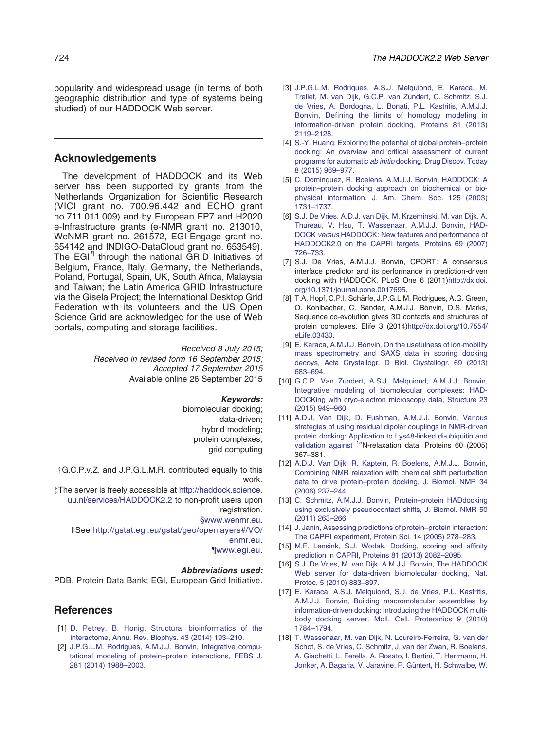<span id="page-4-0"></span>popularity and widespread usage (in terms of both geographic distribution and type of systems being studied) of our HADDOCK Web server.

#### Acknowledgements

The development of HADDOCK and its Web server has been supported by grants from the Netherlands Organization for Scientific Research (VICI grant no. 700.96.442 and ECHO grant no.711.011.009) and by European FP7 and H2020 e-Infrastructure grants (e-NMR grant no. 213010, WeNMR grant no. 261572, EGI-Engage grant no. 654142 and INDIGO-DataCloud grant no. 653549). The EGI<sup>1</sup> through the national GRID Initiatives of Belgium, France, Italy, Germany, the Netherlands, Poland, Portugal, Spain, UK, South Africa, Malaysia and Taiwan; the Latin America GRID Infrastructure via the Gisela Project; the International Desktop Grid Federation with its volunteers and the US Open Science Grid are acknowledged for the use of Web portals, computing and storage facilities.

> Received 8 July 2015; Received in revised form 16 September 2015; Accepted 17 September 2015 Available online 26 September 2015

#### Keywords:

biomolecular docking; data-driven; hybrid modeling; protein complexes; grid computing

†G.C.P.v.Z. and J.P.G.L.M.R. contributed equally to this work.

‡The server is freely accessible at http://haddock.science. uu.nl/services/HADDOCK2.2 to non-profit users upon registration.

§www.wenmr.eu.

||See http://gstat.egi.eu/gstat/geo/openlayers#/VO/

enmr.eu.

¶www.egi.eu.

#### Abbreviations used:

PDB, Protein Data Bank; EGI, European Grid Initiative.

### **References**

- [1] [D. Petrey, B. Honig, Structural bioinformatics of the](http://refhub.elsevier.com/S0022-2836(15)00537-9/rf0005) [interactome, Annu. Rev. Biophys. 43 \(2014\) 193](http://refhub.elsevier.com/S0022-2836(15)00537-9/rf0005)–210.
- [2] [J.P.G.L.M. Rodrigues, A.M.J.J. Bonvin, Integrative compu](http://refhub.elsevier.com/S0022-2836(15)00537-9/rf0010)tational modeling of protein–[protein interactions, FEBS J.](http://refhub.elsevier.com/S0022-2836(15)00537-9/rf0010) [281 \(2014\) 1988](http://refhub.elsevier.com/S0022-2836(15)00537-9/rf0010)–2003.
- [3] [J.P.G.L.M. Rodrigues, A.S.J. Melquiond, E. Karaca, M.](http://refhub.elsevier.com/S0022-2836(15)00537-9/rf0015) [Trellet, M. van Dijk, G.C.P. van Zundert, C. Schmitz, S.J.](http://refhub.elsevier.com/S0022-2836(15)00537-9/rf0015) [de Vries, A. Bordogna, L. Bonati, P.L. Kastritis, A.M.J.J.](http://refhub.elsevier.com/S0022-2836(15)00537-9/rf0015) [Bonvin, Defining the limits of homology modeling in](http://refhub.elsevier.com/S0022-2836(15)00537-9/rf0015) [information-driven protein docking, Proteins 81 \(2013\)](http://refhub.elsevier.com/S0022-2836(15)00537-9/rf0015) 2119–[2128](http://refhub.elsevier.com/S0022-2836(15)00537-9/rf0015).
- [4] [S.-Y. Huang, Exploring the potential of global protein](http://refhub.elsevier.com/S0022-2836(15)00537-9/rf0020)–protein [docking: An overview and critical assessment of current](http://refhub.elsevier.com/S0022-2836(15)00537-9/rf0020) programs for automatic ab initio [docking, Drug Discov. Today](http://refhub.elsevier.com/S0022-2836(15)00537-9/rf0020) [8 \(2015\) 969](http://refhub.elsevier.com/S0022-2836(15)00537-9/rf0020)–977.
- [5] [C. Dominguez, R. Boelens, A.M.J.J. Bonvin, HADDOCK: A](http://refhub.elsevier.com/S0022-2836(15)00537-9/rf0025) protein–[protein docking approach on biochemical or bio](http://refhub.elsevier.com/S0022-2836(15)00537-9/rf0025)[physical information, J. Am. Chem. Soc. 125 \(2003\)](http://refhub.elsevier.com/S0022-2836(15)00537-9/rf0025) [1731](http://refhub.elsevier.com/S0022-2836(15)00537-9/rf0025)–1737.
- [6] [S.J. De Vries, A.D.J. van Dijk, M. Krzeminski, M. van Dijk, A.](http://refhub.elsevier.com/S0022-2836(15)00537-9/rf0030) [Thureau, V. Hsu, T. Wassenaar, A.M.J.J. Bonvin, HAD-](http://refhub.elsevier.com/S0022-2836(15)00537-9/rf0030)DOCK versus [HADDOCK: New features and performance of](http://refhub.elsevier.com/S0022-2836(15)00537-9/rf0030) [HADDOCK2.0 on the CAPRI targets, Proteins 69 \(2007\)](http://refhub.elsevier.com/S0022-2836(15)00537-9/rf0030) [726](http://refhub.elsevier.com/S0022-2836(15)00537-9/rf0030)–733.
- [7] S.J. De Vries, A.M.J.J. Bonvin, CPORT: A consensus interface predictor and its performance in prediction-driven docking with HADDOCK, PLoS One 6 (2011)http://dx.doi. org[/10.1371/journal.pone.0017695.](http://dx.doi.org/10.1371/journal.pone.0017695)
- [8] T.A. Hopf, C.P.I. Schärfe, J.P.G.L.M. Rodrigues, A.G. Green, O. Kohlbacher, C. Sander, A.M.J.J. Bonvin, D.S. Marks, Sequence co-evolution gives 3D contacts and structures of protein complexes, Elife 3 (2014)http://dx.doi.org[/10.7554/](http://dx.doi.org/10.7554/eLife.03430) [eLife.03430.](http://dx.doi.org/10.7554/eLife.03430)
- [9] [E. Karaca, A.M.J.J. Bonvin, On the usefulness of ion-mobility](http://refhub.elsevier.com/S0022-2836(15)00537-9/rf0045) [mass spectrometry and SAXS data in scoring docking](http://refhub.elsevier.com/S0022-2836(15)00537-9/rf0045) [decoys, Acta Crystallogr. D Biol. Crystallogr. 69 \(2013\)](http://refhub.elsevier.com/S0022-2836(15)00537-9/rf0045) [683](http://refhub.elsevier.com/S0022-2836(15)00537-9/rf0045)–694.
- [10] [G.C.P. Van Zundert, A.S.J. Melquiond, A.M.J.J. Bonvin,](http://refhub.elsevier.com/S0022-2836(15)00537-9/rf0050) [Integrative modeling of biomolecular complexes: HAD-](http://refhub.elsevier.com/S0022-2836(15)00537-9/rf0050)[DOCKing with cryo-electron microscopy data, Structure 23](http://refhub.elsevier.com/S0022-2836(15)00537-9/rf0050) [\(2015\) 949](http://refhub.elsevier.com/S0022-2836(15)00537-9/rf0050)–960.
- [11] [A.D.J. Van Dijk, D. Fushman, A.M.J.J. Bonvin, Various](http://refhub.elsevier.com/S0022-2836(15)00537-9/rf0055) [strategies of using residual dipolar couplings in NMR-driven](http://refhub.elsevier.com/S0022-2836(15)00537-9/rf0055) [protein docking: Application to Lys48-linked di-ubiquitin and](http://refhub.elsevier.com/S0022-2836(15)00537-9/rf0055) [validation against](http://refhub.elsevier.com/S0022-2836(15)00537-9/rf0055)  $15N$ -relaxation data, Proteins 60 (2005) [367](http://refhub.elsevier.com/S0022-2836(15)00537-9/rf0055)–381.
- [12] [A.D.J. Van Dijk, R. Kaptein, R. Boelens, A.M.J.J. Bonvin,](http://refhub.elsevier.com/S0022-2836(15)00537-9/rf0125) [Combining NMR relaxation with chemical shift perturbation](http://refhub.elsevier.com/S0022-2836(15)00537-9/rf0125) data to drive protein–[protein docking, J. Biomol. NMR 34](http://refhub.elsevier.com/S0022-2836(15)00537-9/rf0125) [\(2006\) 237](http://refhub.elsevier.com/S0022-2836(15)00537-9/rf0125)–244.
- [13] [C. Schmitz, A.M.J.J. Bonvin, Protein](http://refhub.elsevier.com/S0022-2836(15)00537-9/rf0060)–protein HADdocking [using exclusively pseudocontact shifts, J. Biomol. NMR 50](http://refhub.elsevier.com/S0022-2836(15)00537-9/rf0060) [\(2011\) 263](http://refhub.elsevier.com/S0022-2836(15)00537-9/rf0060)–266.
- [14] [J. Janin, Assessing predictions of protein](http://refhub.elsevier.com/S0022-2836(15)00537-9/rf0065)–protein interaction: [The CAPRI experiment, Protein Sci. 14 \(2005\) 278](http://refhub.elsevier.com/S0022-2836(15)00537-9/rf0065)–283.
- [15] [M.F. Lensink, S.J. Wodak, Docking, scoring and affinity](http://refhub.elsevier.com/S0022-2836(15)00537-9/rf0070) [prediction in CAPRI, Proteins 81 \(2013\) 2082](http://refhub.elsevier.com/S0022-2836(15)00537-9/rf0070)–2095.
- [16] [S.J. De Vries, M. van Dijk, A.M.J.J. Bonvin, The HADDOCK](http://refhub.elsevier.com/S0022-2836(15)00537-9/rf0075) [Web server for data-driven biomolecular docking, Nat.](http://refhub.elsevier.com/S0022-2836(15)00537-9/rf0075) [Protoc. 5 \(2010\) 883](http://refhub.elsevier.com/S0022-2836(15)00537-9/rf0075)–897.
- [17] [E. Karaca, A.S.J. Melquiond, S.J. de Vries, P.L. Kastritis,](http://refhub.elsevier.com/S0022-2836(15)00537-9/rf0080) [A.M.J.J. Bonvin, Building macromolecular assemblies by](http://refhub.elsevier.com/S0022-2836(15)00537-9/rf0080) [information-driven docking: Introducing the HADDOCK multi](http://refhub.elsevier.com/S0022-2836(15)00537-9/rf0080)[body docking server. Moll, Cell. Proteomics 9 \(2010\)](http://refhub.elsevier.com/S0022-2836(15)00537-9/rf0080) [1784](http://refhub.elsevier.com/S0022-2836(15)00537-9/rf0080)–1794.
- [18] [T. Wassenaar, M. van Dijk, N. Loureiro-Ferreira, G. van der](http://refhub.elsevier.com/S0022-2836(15)00537-9/rf0130) [Schot, S. de Vries, C. Schmitz, J. van der Zwan, R. Boelens,](http://refhub.elsevier.com/S0022-2836(15)00537-9/rf0130) [A. Giachetti, L. Ferella, A. Rosato, I. Bertini, T. Herrmann, H.](http://refhub.elsevier.com/S0022-2836(15)00537-9/rf0130) [Jonker, A. Bagaria, V. Jaravine, P. Güntert, H. Schwalbe, W.](http://refhub.elsevier.com/S0022-2836(15)00537-9/rf0130)